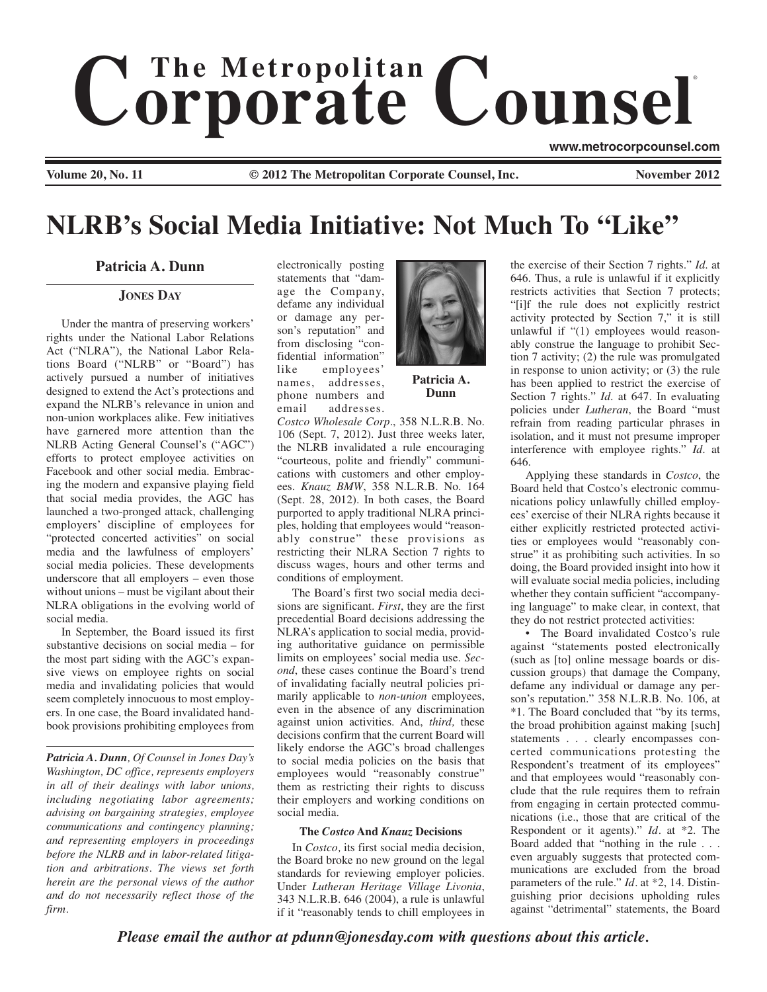# $$ ®

**www.metrocorpcounsel.com**

**Volume 20, No. 11 COLOGATE:**  $\odot$  2012 The Metropolitan Corporate Counsel, Inc. November 2012

## **NLRB's Social Media Initiative: Not Much To "Like"**

### **Patricia A. Dunn**

#### **JONES DAY**

Under the mantra of preserving workers' rights under the National Labor Relations Act ("NLRA"), the National Labor Relations Board ("NLRB" or "Board") has actively pursued a number of initiatives designed to extend the Act's protections and expand the NLRB's relevance in union and non-union workplaces alike. Few initiatives have garnered more attention than the NLRB Acting General Counsel's ("AGC") efforts to protect employee activities on Facebook and other social media. Embracing the modern and expansive playing field that social media provides, the AGC has launched a two-pronged attack, challenging employers' discipline of employees for "protected concerted activities" on social media and the lawfulness of employers' social media policies. These developments underscore that all employers – even those without unions – must be vigilant about their NLRA obligations in the evolving world of social media.

In September, the Board issued its first substantive decisions on social media – for the most part siding with the AGC's expansive views on employee rights on social media and invalidating policies that would seem completely innocuous to most employers. In one case, the Board invalidated handbook provisions prohibiting employees from

*Patricia A. Dunn, Of Counsel in Jones Day's Washington, DC office, represents employers in all of their dealings with labor unions, including negotiating labor agreements; advising on bargaining strategies, employee communications and contingency planning; and representing employers in proceedings before the NLRB and in labor-related litigation and arbitrations. The views set forth herein are the personal views of the author and do not necessarily reflect those of the firm.*

electronically posting statements that "damage the Company, defame any individual or damage any person's reputation" and from disclosing "confidential information" like employees' names, addresses, phone numbers and email addresses.



**Patricia A. Dunn**

*Costco Wholesale Corp*., 358 N.L.R.B. No. 106 (Sept. 7, 2012). Just three weeks later, the NLRB invalidated a rule encouraging "courteous, polite and friendly" communications with customers and other employees. *Knauz BMW*, 358 N.L.R.B. No. 164 (Sept. 28, 2012). In both cases, the Board purported to apply traditional NLRA principles, holding that employees would "reasonably construe" these provisions as restricting their NLRA Section 7 rights to discuss wages, hours and other terms and conditions of employment.

The Board's first two social media decisions are significant. *First*, they are the first precedential Board decisions addressing the NLRA's application to social media, providing authoritative guidance on permissible limits on employees' social media use. *Second*, these cases continue the Board's trend of invalidating facially neutral policies primarily applicable to *non-union* employees, even in the absence of any discrimination against union activities. And, *third,* these decisions confirm that the current Board will likely endorse the AGC's broad challenges to social media policies on the basis that employees would "reasonably construe" them as restricting their rights to discuss their employers and working conditions on social media.

#### **The** *Costco* **And** *Knauz* **Decisions**

In *Costco,* its first social media decision, the Board broke no new ground on the legal standards for reviewing employer policies. Under *Lutheran Heritage Village Livonia*, 343 N.L.R.B. 646 (2004), a rule is unlawful if it "reasonably tends to chill employees in

the exercise of their Section 7 rights." *Id*. at 646. Thus, a rule is unlawful if it explicitly restricts activities that Section 7 protects; "[i]f the rule does not explicitly restrict activity protected by Section 7," it is still unlawful if "(1) employees would reasonably construe the language to prohibit Section 7 activity; (2) the rule was promulgated in response to union activity; or (3) the rule has been applied to restrict the exercise of Section 7 rights." *Id*. at 647. In evaluating policies under *Lutheran*, the Board "must refrain from reading particular phrases in isolation, and it must not presume improper interference with employee rights." *Id*. at 646.

Applying these standards in *Costco*, the Board held that Costco's electronic communications policy unlawfully chilled employees' exercise of their NLRA rights because it either explicitly restricted protected activities or employees would "reasonably construe" it as prohibiting such activities. In so doing, the Board provided insight into how it will evaluate social media policies, including whether they contain sufficient "accompanying language" to make clear, in context, that they do not restrict protected activities:

• The Board invalidated Costco's rule against "statements posted electronically (such as [to] online message boards or discussion groups) that damage the Company, defame any individual or damage any person's reputation." 358 N.L.R.B. No. 106, at \*1. The Board concluded that "by its terms, the broad prohibition against making [such] statements . . . clearly encompasses concerted communications protesting the Respondent's treatment of its employees" and that employees would "reasonably conclude that the rule requires them to refrain from engaging in certain protected communications (i.e., those that are critical of the Respondent or it agents)." *Id.* at \*2. The Board added that "nothing in the rule . . . even arguably suggests that protected communications are excluded from the broad parameters of the rule." *Id.* at \*2, 14. Distinguishing prior decisions upholding rules against "detrimental" statements, the Board

*Please email the author at pdunn@jonesday.com with questions about this article.*